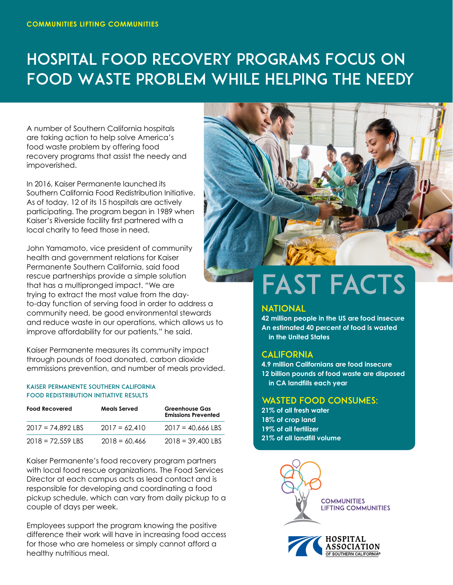## Hospital Food Recovery Programs Focus on Food Waste Problem While Helping the Needy

A number of Southern California hospitals are taking action to help solve America's food waste problem by offering food recovery programs that assist the needy and impoverished.

In 2016, Kaiser Permanente launched its Southern California Food Redistribution Initiative. As of today, 12 of its 15 hospitals are actively participating. The program began in 1989 when Kaiser's Riverside facility first partnered with a local charity to feed those in need.

John Yamamoto, vice president of community health and government relations for Kaiser Permanente Southern California, said food rescue partnerships provide a simple solution that has a multipronged impact. "We are trying to extract the most value from the dayto-day function of serving food in order to address a community need, be good environmental stewards and reduce waste in our operations, which allows us to improve affordability for our patients," he said.

Kaiser Permanente measures its community impact through pounds of food donated, carbon dioxide emmissions prevention, and number of meals provided.

#### Kaiser permanente Southern California Food Redistribution Initiative Results

| <b>Food Recovered</b> | <b>Meals Served</b> | <b>Greenhouse Gas</b><br><b>Emissions Prevented</b> |
|-----------------------|---------------------|-----------------------------------------------------|
| $2017 = 74.892$ LBS   | $2017 = 62.410$     | $2017 = 40.666$ LBS                                 |
| $2018 = 72.559$ LBS   | $2018 = 60,466$     | $2018 = 39,400$ LBS                                 |

Kaiser Permanente's food recovery program partners with local food rescue organizations. The Food Services Director at each campus acts as lead contact and is responsible for developing and coordinating a food pickup schedule, which can vary from daily pickup to a couple of days per week.

Employees support the program knowing the positive difference their work will have in increasing food access for those who are homeless or simply cannot afford a healthy nutritious meal.



# FAST FACTS

#### NATIONAL

**42 million people in the US are food insecure An estimated 40 percent of food is wasted in the United States**

#### **CALIFORNIA**

**4.9 million Californians are food insecure 12 billion pounds of food waste are disposed in CA landfills each year** 

### WASTED FOOD CONSUMES:

**21% of all fresh water 18% of crop land 19% of all fertilizer 21% of all landfill volume**



OF SOUTHERN CALIFORNIA®